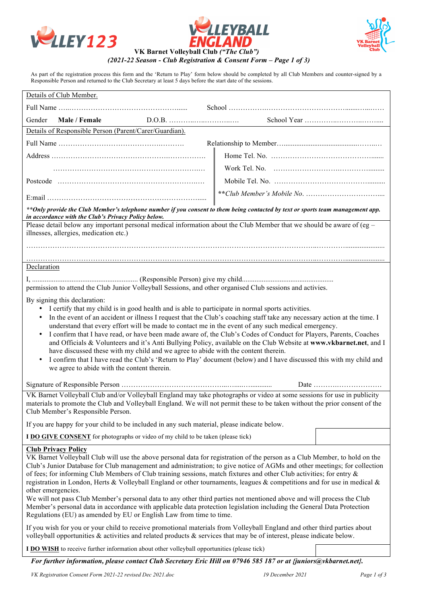





#### As part of the registration process this form and the 'Return to Play' form below should be completed by all Club Members and counter-signed by a Responsible Person and returned to the Club Secretary at least 5 days before the start date of the sessions.

|                                                                                                                                                                                                                                                        | Details of Club Member.                                                                                                                                                                       |  |  |  |                                                                |  |
|--------------------------------------------------------------------------------------------------------------------------------------------------------------------------------------------------------------------------------------------------------|-----------------------------------------------------------------------------------------------------------------------------------------------------------------------------------------------|--|--|--|----------------------------------------------------------------|--|
|                                                                                                                                                                                                                                                        |                                                                                                                                                                                               |  |  |  |                                                                |  |
| Gender                                                                                                                                                                                                                                                 | Male / Female                                                                                                                                                                                 |  |  |  |                                                                |  |
|                                                                                                                                                                                                                                                        | Details of Responsible Person (Parent/Carer/Guardian).                                                                                                                                        |  |  |  |                                                                |  |
|                                                                                                                                                                                                                                                        |                                                                                                                                                                                               |  |  |  |                                                                |  |
|                                                                                                                                                                                                                                                        |                                                                                                                                                                                               |  |  |  |                                                                |  |
|                                                                                                                                                                                                                                                        |                                                                                                                                                                                               |  |  |  |                                                                |  |
|                                                                                                                                                                                                                                                        |                                                                                                                                                                                               |  |  |  |                                                                |  |
|                                                                                                                                                                                                                                                        |                                                                                                                                                                                               |  |  |  |                                                                |  |
|                                                                                                                                                                                                                                                        | ** Only provide the Club Member's telephone number if you consent to them being contacted by text or sports team management app.<br>in accordance with the Club's Privacy Policy below.       |  |  |  |                                                                |  |
|                                                                                                                                                                                                                                                        | Please detail below any important personal medical information about the Club Member that we should be aware of (eg -                                                                         |  |  |  |                                                                |  |
|                                                                                                                                                                                                                                                        | illnesses, allergies, medication etc.)                                                                                                                                                        |  |  |  |                                                                |  |
|                                                                                                                                                                                                                                                        |                                                                                                                                                                                               |  |  |  |                                                                |  |
| Declaration                                                                                                                                                                                                                                            |                                                                                                                                                                                               |  |  |  |                                                                |  |
| permission to attend the Club Junior Volleyball Sessions, and other organised Club sessions and activies.                                                                                                                                              |                                                                                                                                                                                               |  |  |  |                                                                |  |
|                                                                                                                                                                                                                                                        |                                                                                                                                                                                               |  |  |  |                                                                |  |
|                                                                                                                                                                                                                                                        | By signing this declaration:<br>I certify that my child is in good health and is able to participate in normal sports activities.                                                             |  |  |  |                                                                |  |
| $\bullet$                                                                                                                                                                                                                                              | In the event of an accident or illness I request that the Club's coaching staff take any necessary action at the time. I                                                                      |  |  |  |                                                                |  |
|                                                                                                                                                                                                                                                        | understand that every effort will be made to contact me in the event of any such medical emergency.                                                                                           |  |  |  |                                                                |  |
| I confirm that I have read, or have been made aware of, the Club's Codes of Conduct for Players, Parents, Coaches<br>$\bullet$                                                                                                                         |                                                                                                                                                                                               |  |  |  |                                                                |  |
| and Officials & Volunteers and it's Anti Bullying Policy, available on the Club Website at www.vkbarnet.net, and I                                                                                                                                     |                                                                                                                                                                                               |  |  |  |                                                                |  |
| have discussed these with my child and we agree to abide with the content therein.<br>I confirm that I have read the Club's 'Return to Play' document (below) and I have discussed this with my child and<br>$\bullet$                                 |                                                                                                                                                                                               |  |  |  |                                                                |  |
| we agree to abide with the content therein.                                                                                                                                                                                                            |                                                                                                                                                                                               |  |  |  |                                                                |  |
|                                                                                                                                                                                                                                                        |                                                                                                                                                                                               |  |  |  | Date $\dots\dots\dots\dots\dots\dots\dots\dots\dots\dots\dots$ |  |
|                                                                                                                                                                                                                                                        |                                                                                                                                                                                               |  |  |  |                                                                |  |
| VK Barnet Volleyball Club and/or Volleyball England may take photographs or video at some sessions for use in publicity<br>materials to promote the Club and Volleyball England. We will not permit these to be taken without the prior consent of the |                                                                                                                                                                                               |  |  |  |                                                                |  |
|                                                                                                                                                                                                                                                        | Club Member's Responsible Person.                                                                                                                                                             |  |  |  |                                                                |  |
|                                                                                                                                                                                                                                                        | If you are happy for your child to be included in any such material, please indicate below.                                                                                                   |  |  |  |                                                                |  |
|                                                                                                                                                                                                                                                        | I DO GIVE CONSENT for photographs or video of my child to be taken (please tick)                                                                                                              |  |  |  |                                                                |  |
|                                                                                                                                                                                                                                                        | <b>Club Privacy Policy</b>                                                                                                                                                                    |  |  |  |                                                                |  |
| VK Barnet Volleyball Club will use the above personal data for registration of the person as a Club Member, to hold on the<br>Club's Junior Database for Club management and administration; to give notice of AGMs and other meetings; for collection |                                                                                                                                                                                               |  |  |  |                                                                |  |
| of fees; for informing Club Members of Club training sessions, match fixtures and other Club activities; for entry &                                                                                                                                   |                                                                                                                                                                                               |  |  |  |                                                                |  |
| registration in London, Herts & Volleyball England or other tournaments, leagues & competitions and for use in medical $\&$<br>other emergencies.                                                                                                      |                                                                                                                                                                                               |  |  |  |                                                                |  |
| We will not pass Club Member's personal data to any other third parties not mentioned above and will process the Club                                                                                                                                  |                                                                                                                                                                                               |  |  |  |                                                                |  |
|                                                                                                                                                                                                                                                        | Member's personal data in accordance with applicable data protection legislation including the General Data Protection<br>Regulations (EU) as amended by EU or English Law from time to time. |  |  |  |                                                                |  |
| If you wish for you or your child to receive promotional materials from Volleyball England and other third parties about                                                                                                                               |                                                                                                                                                                                               |  |  |  |                                                                |  |
| volleyball opportunities $\&$ activities and related products $\&$ services that may be of interest, please indicate below.                                                                                                                            |                                                                                                                                                                                               |  |  |  |                                                                |  |
| I DO WISH to receive further information about other volleyball opportunities (please tick)                                                                                                                                                            |                                                                                                                                                                                               |  |  |  |                                                                |  |

*For further information, please contact Club Secretary Eric Hill on 07946 585 187 or at {juniors@vkbarnet.net}.*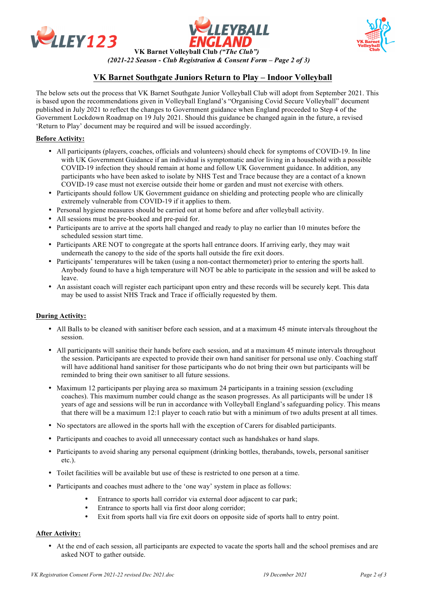





# **VK Barnet Southgate Juniors Return to Play – Indoor Volleyball**

The below sets out the process that VK Barnet Southgate Junior Volleyball Club will adopt from September 2021. This is based upon the recommendations given in Volleyball England's "Organising Covid Secure Volleyball" document published in July 2021 to reflect the changes to Government guidance when England proceeded to Step 4 of the Government Lockdown Roadmap on 19 July 2021. Should this guidance be changed again in the future, a revised 'Return to Play' document may be required and will be issued accordingly.

## **Before Activity:**

- All participants (players, coaches, officials and volunteers) should check for symptoms of COVID-19. In line with UK Government Guidance if an individual is symptomatic and/or living in a household with a possible COVID-19 infection they should remain at home and follow UK Government guidance. In addition, any participants who have been asked to isolate by NHS Test and Trace because they are a contact of a known COVID-19 case must not exercise outside their home or garden and must not exercise with others.
- Participants should follow UK Government guidance on shielding and protecting people who are clinically extremely vulnerable from COVID-19 if it applies to them.
- Personal hygiene measures should be carried out at home before and after volleyball activity.
- All sessions must be pre-booked and pre-paid for.
- Participants are to arrive at the sports hall changed and ready to play no earlier than 10 minutes before the scheduled session start time.
- Participants ARE NOT to congregate at the sports hall entrance doors. If arriving early, they may wait underneath the canopy to the side of the sports hall outside the fire exit doors.
- Participants' temperatures will be taken (using a non-contact thermometer) prior to entering the sports hall. Anybody found to have a high temperature will NOT be able to participate in the session and will be asked to leave.
- An assistant coach will register each participant upon entry and these records will be securely kept. This data may be used to assist NHS Track and Trace if officially requested by them.

#### **During Activity:**

- All Balls to be cleaned with sanitiser before each session, and at a maximum 45 minute intervals throughout the session.
- All participants will sanitise their hands before each session, and at a maximum 45 minute intervals throughout the session. Participants are expected to provide their own hand sanitiser for personal use only. Coaching staff will have additional hand sanitiser for those participants who do not bring their own but participants will be reminded to bring their own sanitiser to all future sessions.
- Maximum 12 participants per playing area so maximum 24 participants in a training session (excluding coaches). This maximum number could change as the season progresses. As all participants will be under 18 years of age and sessions will be run in accordance with Volleyball England's safeguarding policy. This means that there will be a maximum 12:1 player to coach ratio but with a minimum of two adults present at all times.
- No spectators are allowed in the sports hall with the exception of Carers for disabled participants.
- Participants and coaches to avoid all unnecessary contact such as handshakes or hand slaps.
- Participants to avoid sharing any personal equipment (drinking bottles, therabands, towels, personal sanitiser etc.).
- Toilet facilities will be available but use of these is restricted to one person at a time.
- Participants and coaches must adhere to the 'one way' system in place as follows:
	- Entrance to sports hall corridor via external door adjacent to car park;
	- Entrance to sports hall via first door along corridor;
	- Exit from sports hall via fire exit doors on opposite side of sports hall to entry point.

#### **After Activity:**

• At the end of each session, all participants are expected to vacate the sports hall and the school premises and are asked NOT to gather outside.